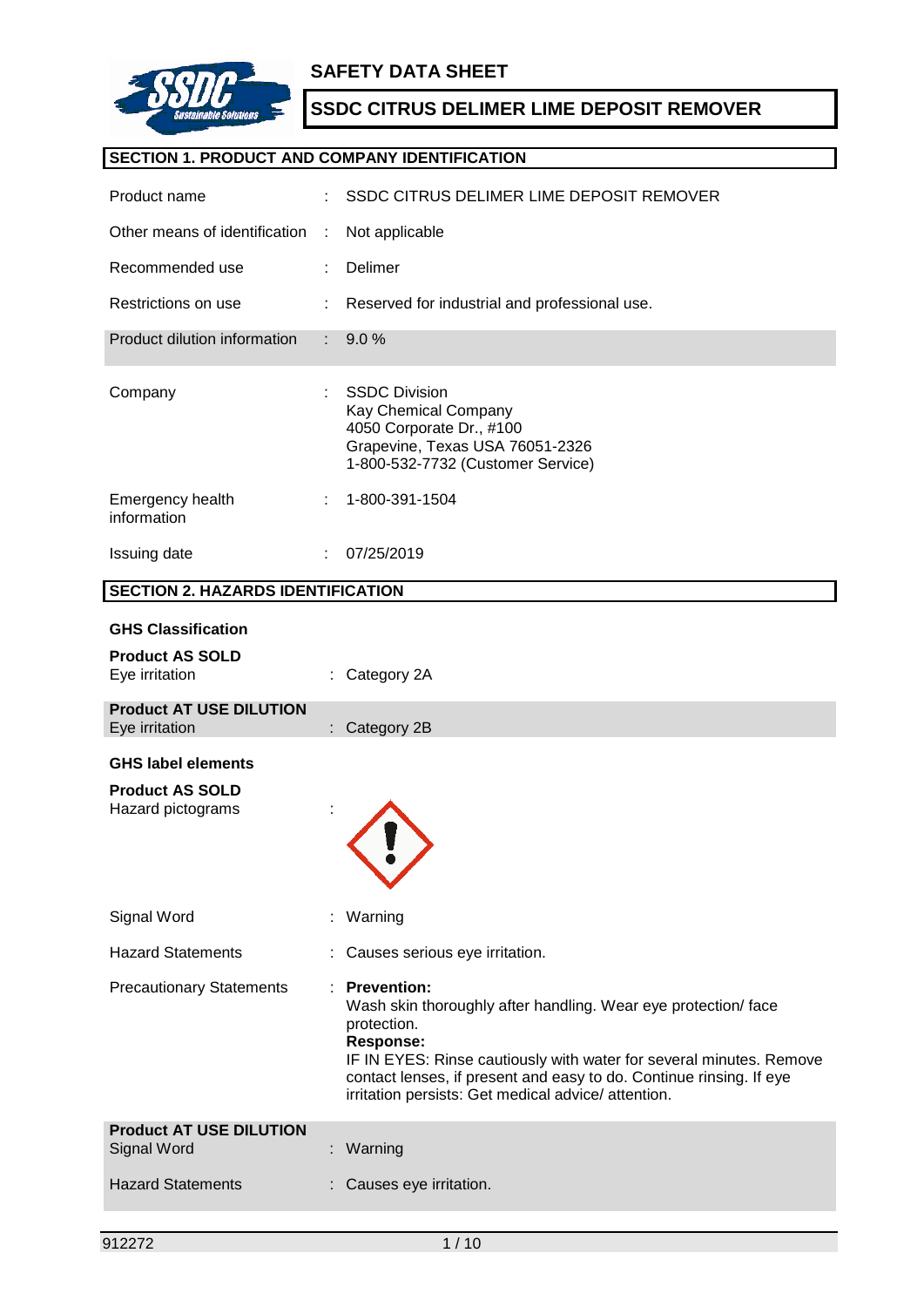

# **SECTION 1. PRODUCT AND COMPANY IDENTIFICATION**

| Product name                                         |    | SSDC CITRUS DELIMER LIME DEPOSIT REMOVER                                                                                                                                                                                                                                                                                    |
|------------------------------------------------------|----|-----------------------------------------------------------------------------------------------------------------------------------------------------------------------------------------------------------------------------------------------------------------------------------------------------------------------------|
| Other means of identification                        | ÷  | Not applicable                                                                                                                                                                                                                                                                                                              |
| Recommended use                                      |    | Delimer                                                                                                                                                                                                                                                                                                                     |
| Restrictions on use                                  |    | Reserved for industrial and professional use.                                                                                                                                                                                                                                                                               |
| Product dilution information                         |    | 9.0%                                                                                                                                                                                                                                                                                                                        |
| Company                                              |    | <b>SSDC Division</b><br>Kay Chemical Company<br>4050 Corporate Dr., #100<br>Grapevine, Texas USA 76051-2326<br>1-800-532-7732 (Customer Service)                                                                                                                                                                            |
| Emergency health<br>information                      |    | 1-800-391-1504                                                                                                                                                                                                                                                                                                              |
| Issuing date                                         |    | 07/25/2019                                                                                                                                                                                                                                                                                                                  |
| <b>SECTION 2. HAZARDS IDENTIFICATION</b>             |    |                                                                                                                                                                                                                                                                                                                             |
| <b>GHS Classification</b>                            |    |                                                                                                                                                                                                                                                                                                                             |
| <b>Product AS SOLD</b><br>Eye irritation             |    | Category 2A                                                                                                                                                                                                                                                                                                                 |
|                                                      |    |                                                                                                                                                                                                                                                                                                                             |
| <b>Product AT USE DILUTION</b><br>Eye irritation     |    | : Category 2B                                                                                                                                                                                                                                                                                                               |
| <b>GHS label elements</b>                            |    |                                                                                                                                                                                                                                                                                                                             |
| <b>Product AS SOLD</b><br>Hazard pictograms          |    |                                                                                                                                                                                                                                                                                                                             |
| Signal Word                                          |    | Warning                                                                                                                                                                                                                                                                                                                     |
| <b>Hazard Statements</b>                             |    | Causes serious eye irritation.                                                                                                                                                                                                                                                                                              |
| <b>Precautionary Statements</b>                      | ÷. | <b>Prevention:</b><br>Wash skin thoroughly after handling. Wear eye protection/face<br>protection.<br><b>Response:</b><br>IF IN EYES: Rinse cautiously with water for several minutes. Remove<br>contact lenses, if present and easy to do. Continue rinsing. If eye<br>irritation persists: Get medical advice/ attention. |
| <b>Product AT USE DILUTION</b><br><b>Signal Word</b> |    | Warning                                                                                                                                                                                                                                                                                                                     |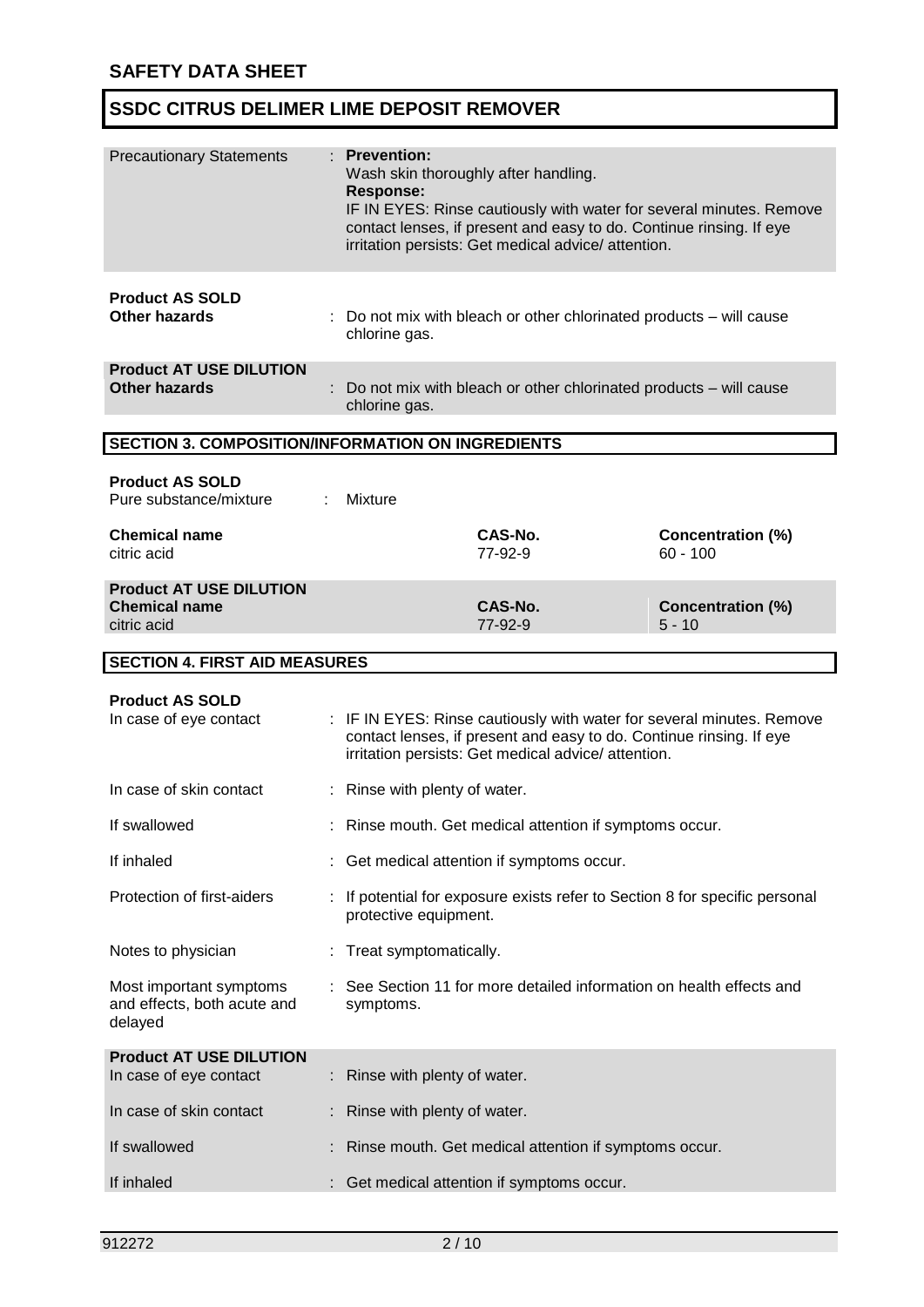| <b>Precautionary Statements</b>                                       | : Prevention:<br>Wash skin thoroughly after handling.<br><b>Response:</b> | IF IN EYES: Rinse cautiously with water for several minutes. Remove<br>contact lenses, if present and easy to do. Continue rinsing. If eye<br>irritation persists: Get medical advice/ attention.  |                                        |
|-----------------------------------------------------------------------|---------------------------------------------------------------------------|----------------------------------------------------------------------------------------------------------------------------------------------------------------------------------------------------|----------------------------------------|
| <b>Product AS SOLD</b><br><b>Other hazards</b>                        | chlorine gas.                                                             | Do not mix with bleach or other chlorinated products – will cause                                                                                                                                  |                                        |
| <b>Product AT USE DILUTION</b><br><b>Other hazards</b>                | chlorine gas.                                                             | : Do not mix with bleach or other chlorinated products - will cause                                                                                                                                |                                        |
| <b>SECTION 3. COMPOSITION/INFORMATION ON INGREDIENTS</b>              |                                                                           |                                                                                                                                                                                                    |                                        |
| <b>Product AS SOLD</b><br>Pure substance/mixture                      | Mixture                                                                   |                                                                                                                                                                                                    |                                        |
| <b>Chemical name</b><br>citric acid                                   |                                                                           | CAS-No.<br>77-92-9                                                                                                                                                                                 | <b>Concentration (%)</b><br>$60 - 100$ |
| <b>Product AT USE DILUTION</b><br><b>Chemical name</b><br>citric acid |                                                                           | CAS-No.<br>77-92-9                                                                                                                                                                                 | <b>Concentration (%)</b><br>$5 - 10$   |
| <b>SECTION 4. FIRST AID MEASURES</b>                                  |                                                                           |                                                                                                                                                                                                    |                                        |
| <b>Product AS SOLD</b><br>In case of eye contact                      |                                                                           | : IF IN EYES: Rinse cautiously with water for several minutes. Remove<br>contact lenses, if present and easy to do. Continue rinsing. If eye<br>irritation persists: Get medical advice/attention. |                                        |
| In case of skin contact                                               | : Rinse with plenty of water.                                             |                                                                                                                                                                                                    |                                        |
| If swallowed                                                          |                                                                           | Rinse mouth. Get medical attention if symptoms occur.                                                                                                                                              |                                        |
| If inhaled                                                            |                                                                           | Get medical attention if symptoms occur.                                                                                                                                                           |                                        |
| Protection of first-aiders                                            | protective equipment.                                                     | If potential for exposure exists refer to Section 8 for specific personal                                                                                                                          |                                        |
| Notes to physician                                                    | Treat symptomatically.                                                    |                                                                                                                                                                                                    |                                        |
| Most important symptoms<br>and effects, both acute and<br>delayed     | symptoms.                                                                 | See Section 11 for more detailed information on health effects and                                                                                                                                 |                                        |
| <b>Product AT USE DILUTION</b><br>In case of eye contact              | Rinse with plenty of water.                                               |                                                                                                                                                                                                    |                                        |
| In case of skin contact                                               | Rinse with plenty of water.                                               |                                                                                                                                                                                                    |                                        |
| If swallowed                                                          |                                                                           | Rinse mouth. Get medical attention if symptoms occur.                                                                                                                                              |                                        |
| If inhaled                                                            |                                                                           | Get medical attention if symptoms occur.                                                                                                                                                           |                                        |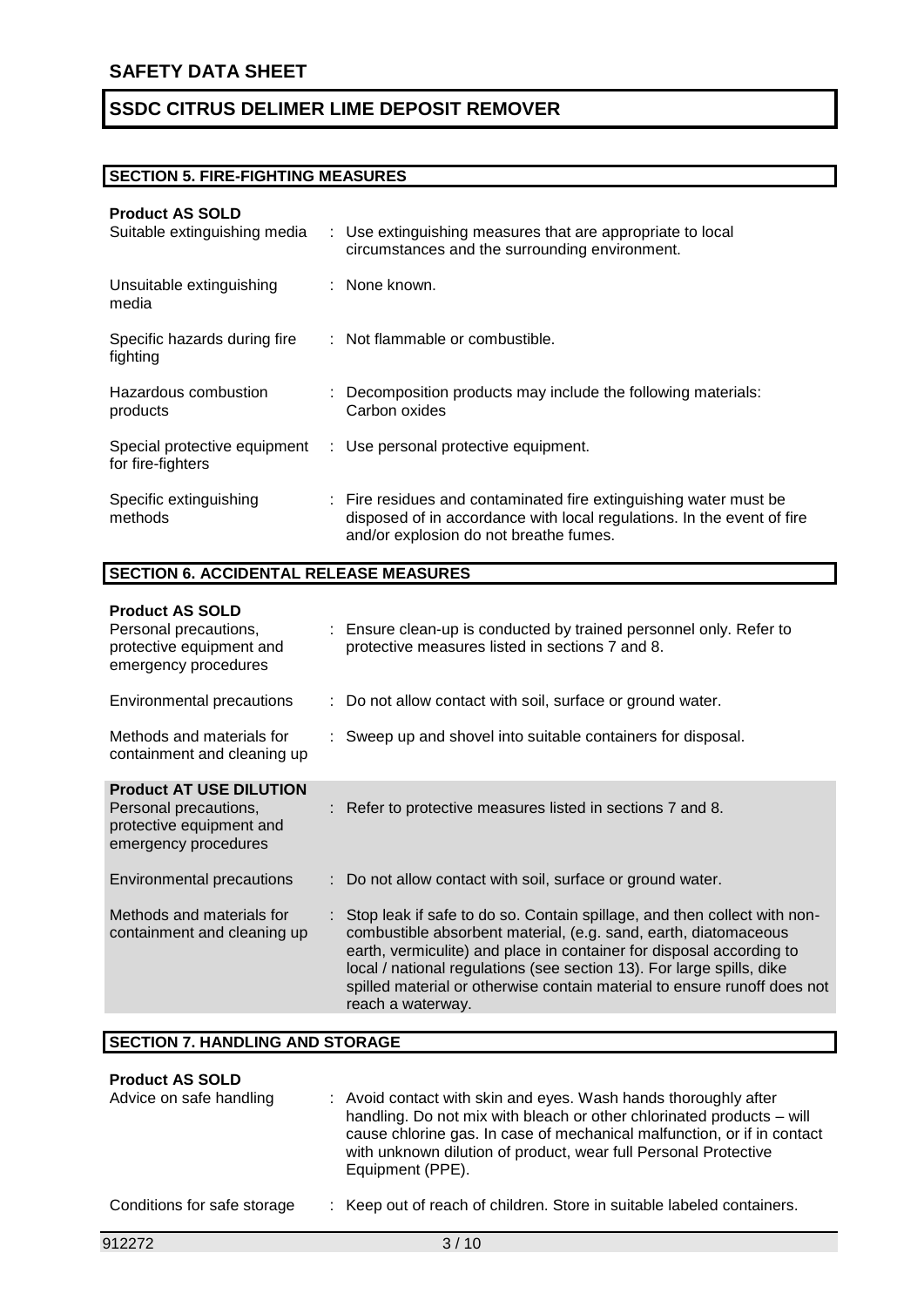# **SECTION 5. FIRE-FIGHTING MEASURES**

## **Product AS SOLD**

| Suitable extinguishing media                      | : Use extinguishing measures that are appropriate to local<br>circumstances and the surrounding environment.                                                                          |
|---------------------------------------------------|---------------------------------------------------------------------------------------------------------------------------------------------------------------------------------------|
| Unsuitable extinguishing<br>media                 | : None known.                                                                                                                                                                         |
| Specific hazards during fire<br>fighting          | : Not flammable or combustible.                                                                                                                                                       |
| Hazardous combustion<br>products                  | Decomposition products may include the following materials:<br>Carbon oxides                                                                                                          |
| Special protective equipment<br>for fire-fighters | : Use personal protective equipment.                                                                                                                                                  |
| Specific extinguishing<br>methods                 | : Fire residues and contaminated fire extinguishing water must be<br>disposed of in accordance with local regulations. In the event of fire<br>and/or explosion do not breathe fumes. |

# **SECTION 6. ACCIDENTAL RELEASE MEASURES**

| <b>Product AS SOLD</b><br>Personal precautions,<br>protective equipment and<br>emergency procedures         | : Ensure clean-up is conducted by trained personnel only. Refer to<br>protective measures listed in sections 7 and 8.                                                                                                                                                                                                                                                                           |
|-------------------------------------------------------------------------------------------------------------|-------------------------------------------------------------------------------------------------------------------------------------------------------------------------------------------------------------------------------------------------------------------------------------------------------------------------------------------------------------------------------------------------|
| Environmental precautions                                                                                   | : Do not allow contact with soil, surface or ground water.                                                                                                                                                                                                                                                                                                                                      |
| Methods and materials for<br>containment and cleaning up                                                    | : Sweep up and shovel into suitable containers for disposal.                                                                                                                                                                                                                                                                                                                                    |
| <b>Product AT USE DILUTION</b><br>Personal precautions,<br>protective equipment and<br>emergency procedures | : Refer to protective measures listed in sections 7 and 8.                                                                                                                                                                                                                                                                                                                                      |
| Environmental precautions                                                                                   | : Do not allow contact with soil, surface or ground water.                                                                                                                                                                                                                                                                                                                                      |
| Methods and materials for<br>containment and cleaning up                                                    | : Stop leak if safe to do so. Contain spillage, and then collect with non-<br>combustible absorbent material, (e.g. sand, earth, diatomaceous<br>earth, vermiculite) and place in container for disposal according to<br>local / national regulations (see section 13). For large spills, dike<br>spilled material or otherwise contain material to ensure runoff does not<br>reach a waterway. |

#### **SECTION 7. HANDLING AND STORAGE**

### **Product AS SOLD**

| Advice on safe handling     | : Avoid contact with skin and eyes. Wash hands thoroughly after<br>handling. Do not mix with bleach or other chlorinated products – will<br>cause chlorine gas. In case of mechanical malfunction, or if in contact<br>with unknown dilution of product, wear full Personal Protective<br>Equipment (PPE). |
|-----------------------------|------------------------------------------------------------------------------------------------------------------------------------------------------------------------------------------------------------------------------------------------------------------------------------------------------------|
| Conditions for safe storage | : Keep out of reach of children. Store in suitable labeled containers.                                                                                                                                                                                                                                     |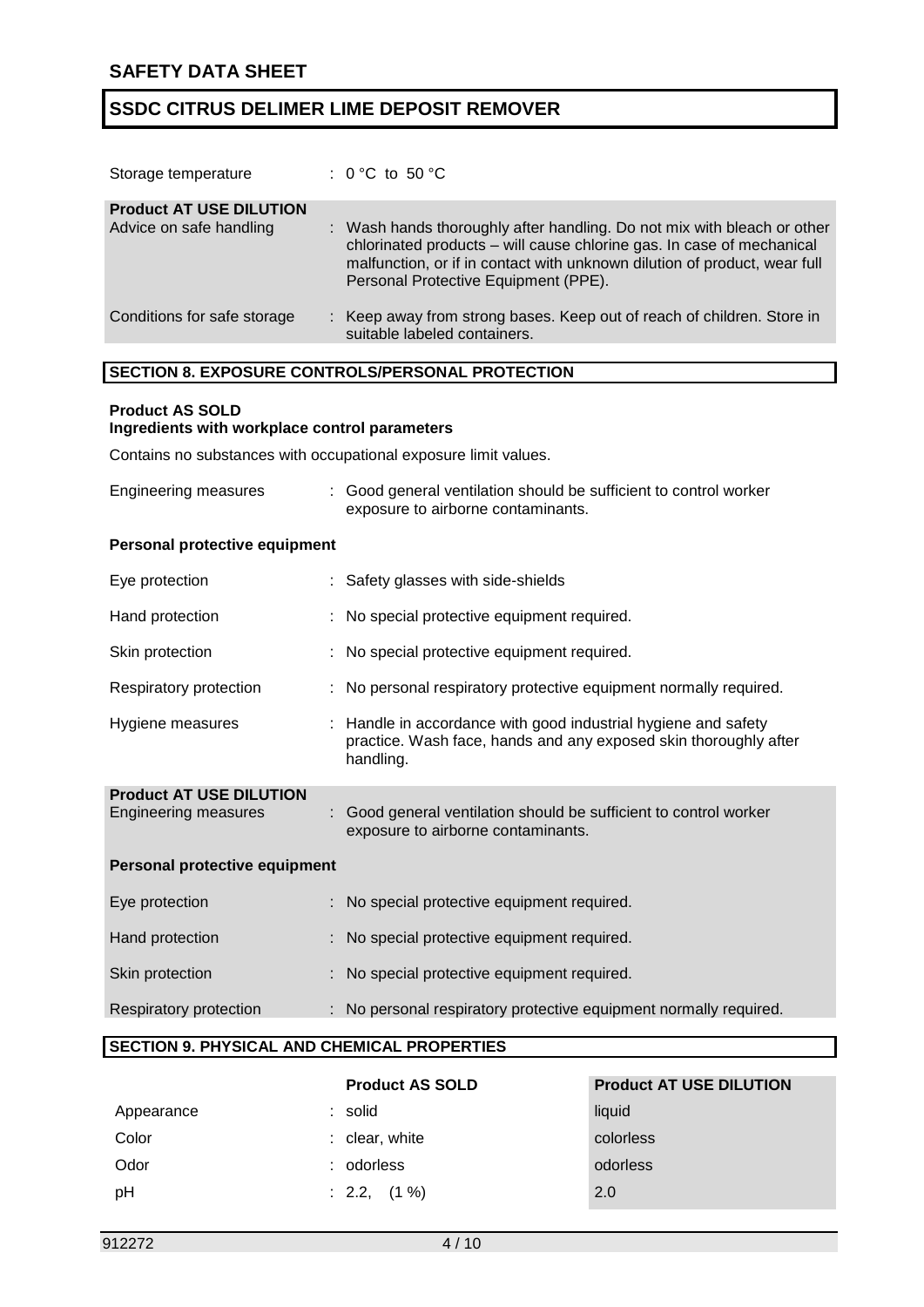| Storage temperature                                       | : $0 °C$ to $50 °C$                                                                                                                                                                                                                                                   |
|-----------------------------------------------------------|-----------------------------------------------------------------------------------------------------------------------------------------------------------------------------------------------------------------------------------------------------------------------|
| <b>Product AT USE DILUTION</b><br>Advice on safe handling | : Wash hands thoroughly after handling. Do not mix with bleach or other<br>chlorinated products – will cause chlorine gas. In case of mechanical<br>malfunction, or if in contact with unknown dilution of product, wear full<br>Personal Protective Equipment (PPE). |
| Conditions for safe storage                               | : Keep away from strong bases. Keep out of reach of children. Store in<br>suitable labeled containers.                                                                                                                                                                |

## **SECTION 8. EXPOSURE CONTROLS/PERSONAL PROTECTION**

## **Product AS SOLD**

## **Ingredients with workplace control parameters**

Contains no substances with occupational exposure limit values.

| Engineering measures                                          | Good general ventilation should be sufficient to control worker<br>exposure to airborne contaminants.                                           |
|---------------------------------------------------------------|-------------------------------------------------------------------------------------------------------------------------------------------------|
| Personal protective equipment                                 |                                                                                                                                                 |
| Eye protection                                                | : Safety glasses with side-shields                                                                                                              |
| Hand protection                                               | : No special protective equipment required.                                                                                                     |
| Skin protection                                               | : No special protective equipment required.                                                                                                     |
| Respiratory protection                                        | No personal respiratory protective equipment normally required.                                                                                 |
| Hygiene measures                                              | : Handle in accordance with good industrial hygiene and safety<br>practice. Wash face, hands and any exposed skin thoroughly after<br>handling. |
| <b>Product AT USE DILUTION</b><br><b>Engineering measures</b> | : Good general ventilation should be sufficient to control worker<br>exposure to airborne contaminants.                                         |
| Personal protective equipment                                 |                                                                                                                                                 |
| Eye protection                                                | : No special protective equipment required.                                                                                                     |
| Hand protection                                               | No special protective equipment required.                                                                                                       |
| Skin protection                                               | No special protective equipment required.                                                                                                       |
| Respiratory protection                                        | : No personal respiratory protective equipment normally required.                                                                               |
| <b>SECTION 9. PHYSICAL AND CHEMICAL PROPERTIES</b>            |                                                                                                                                                 |

|            | <b>Product AS SOLD</b> | <b>Product AT USE DILUTION</b> |
|------------|------------------------|--------------------------------|
| Appearance | : solid                | liquid                         |
| Color      | $:$ clear, white       | colorless                      |
| Odor       | odorless               | odorless                       |
| pH         | $: 2.2, (1\%)$         | 2.0                            |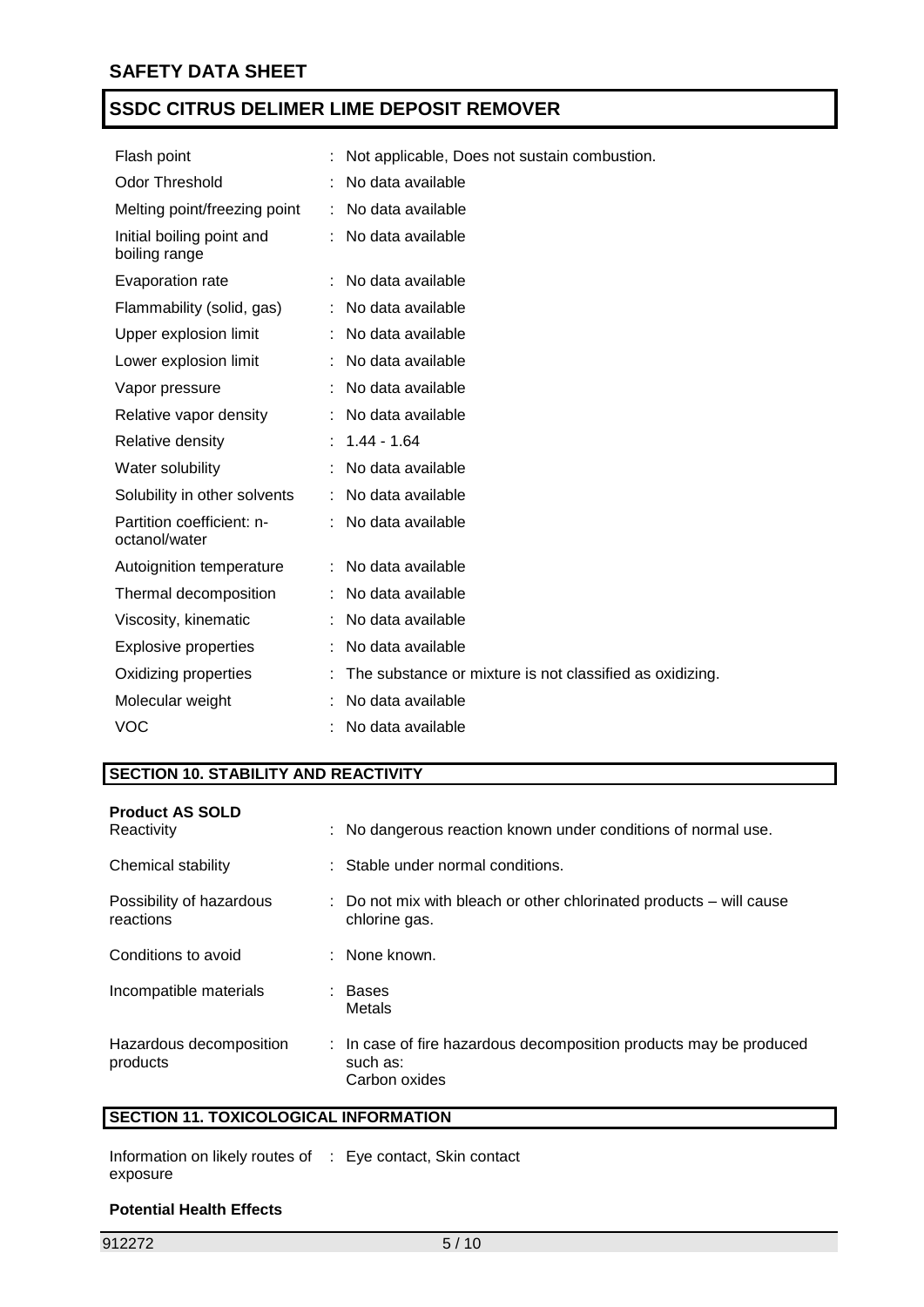| Flash point                                | Not applicable, Does not sustain combustion.             |
|--------------------------------------------|----------------------------------------------------------|
| <b>Odor Threshold</b>                      | No data available                                        |
| Melting point/freezing point               | : No data available                                      |
| Initial boiling point and<br>boiling range | No data available                                        |
| Evaporation rate                           | : No data available                                      |
| Flammability (solid, gas)                  | No data available                                        |
| Upper explosion limit                      | No data available                                        |
| Lower explosion limit                      | No data available                                        |
| Vapor pressure                             | No data available                                        |
| Relative vapor density                     | No data available                                        |
| Relative density                           | $: 1.44 - 1.64$                                          |
| Water solubility                           | No data available                                        |
| Solubility in other solvents               | No data available                                        |
| Partition coefficient: n-<br>octanol/water | : No data available                                      |
| Autoignition temperature                   | No data available                                        |
| Thermal decomposition                      | No data available                                        |
| Viscosity, kinematic                       | No data available                                        |
| <b>Explosive properties</b>                | No data available                                        |
| Oxidizing properties                       | The substance or mixture is not classified as oxidizing. |
| Molecular weight                           | No data available                                        |
| <b>VOC</b>                                 | No data available                                        |

# **SECTION 10. STABILITY AND REACTIVITY**

| <b>Product AS SOLD</b><br>Reactivity  | : No dangerous reaction known under conditions of normal use.                                   |
|---------------------------------------|-------------------------------------------------------------------------------------------------|
| Chemical stability                    | : Stable under normal conditions.                                                               |
| Possibility of hazardous<br>reactions | : Do not mix with bleach or other chlorinated products – will cause<br>chlorine gas.            |
| Conditions to avoid                   | : None known.                                                                                   |
| Incompatible materials                | : Bases<br>Metals                                                                               |
| Hazardous decomposition<br>products   | : In case of fire hazardous decomposition products may be produced<br>such as:<br>Carbon oxides |

# **SECTION 11. TOXICOLOGICAL INFORMATION**

| Information on likely routes of : Eye contact, Skin contact |  |
|-------------------------------------------------------------|--|
| exposure                                                    |  |

### **Potential Health Effects**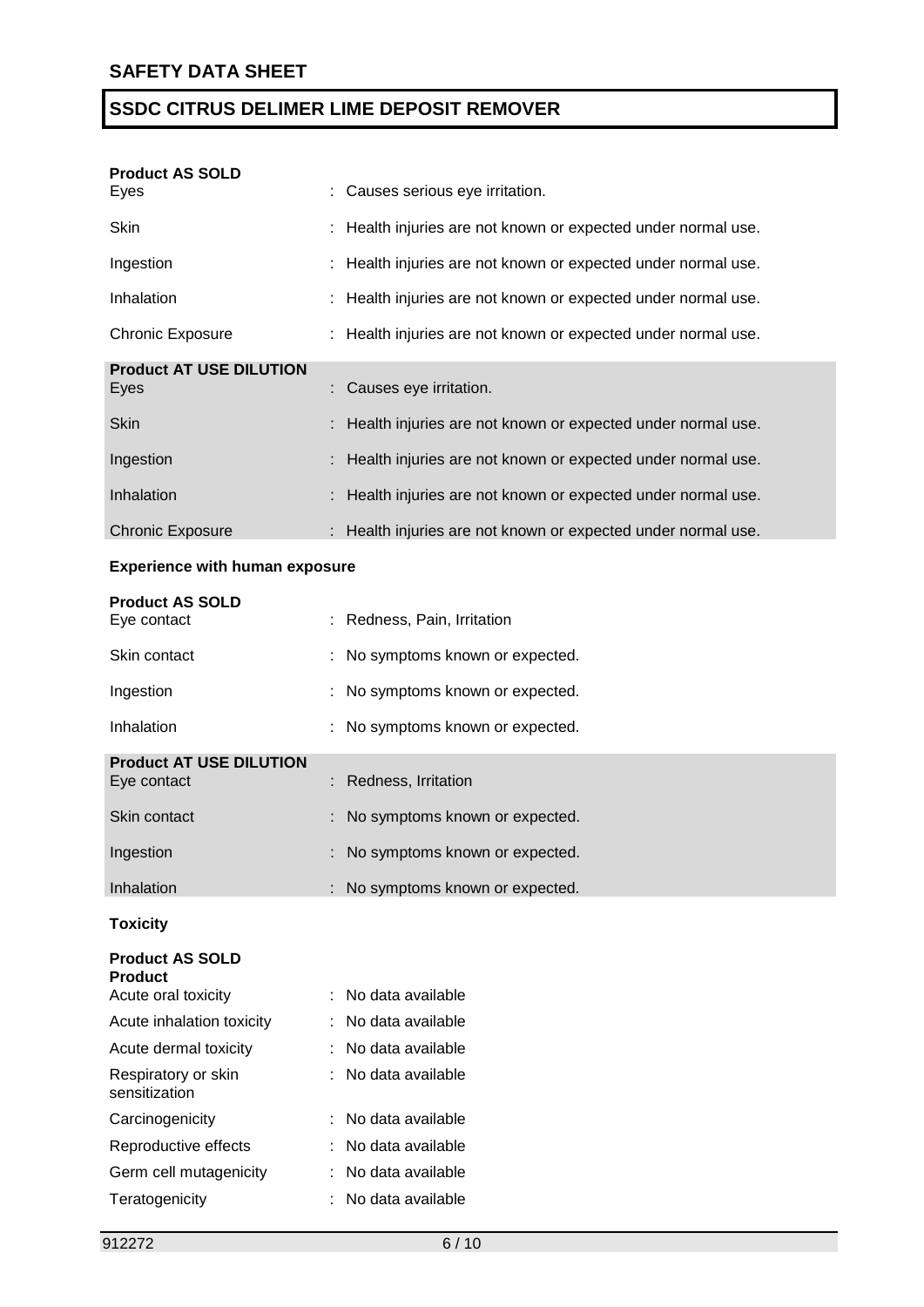| <b>Product AS SOLD</b><br>Eyes         | : Causes serious eye irritation.                              |
|----------------------------------------|---------------------------------------------------------------|
| Skin                                   | : Health injuries are not known or expected under normal use. |
| Ingestion                              | : Health injuries are not known or expected under normal use. |
| Inhalation                             | : Health injuries are not known or expected under normal use. |
| Chronic Exposure                       | : Health injuries are not known or expected under normal use. |
| <b>Product AT USE DILUTION</b><br>Eyes | : Causes eye irritation.                                      |
| <b>Skin</b>                            | : Health injuries are not known or expected under normal use. |
| Ingestion                              | : Health injuries are not known or expected under normal use. |
| Inhalation                             | Health injuries are not known or expected under normal use.   |
| <b>Chronic Exposure</b>                | : Health injuries are not known or expected under normal use. |
|                                        |                                                               |

# **Experience with human exposure**

| <b>Product AS SOLD</b>                   |                                  |
|------------------------------------------|----------------------------------|
| Eye contact                              | Redness, Pain, Irritation        |
| Skin contact                             | : No symptoms known or expected. |
| Ingestion                                | : No symptoms known or expected. |
| Inhalation                               | No symptoms known or expected.   |
| <b>Product AT USE DILUTION</b>           |                                  |
| Eye contact                              | Redness, Irritation              |
| Skin contact                             | : No symptoms known or expected. |
| Ingestion                                | No symptoms known or expected.   |
| Inhalation                               | No symptoms known or expected.   |
| <b>Toxicity</b>                          |                                  |
| <b>Product AS SOLD</b><br><b>Product</b> |                                  |
| Acute oral toxicity                      | : No data available              |
| Acute inhalation toxicity                | : No data available              |
| Acute dermal toxicity                    | No data available                |
| Respiratory or skin<br>sensitization     | No data available                |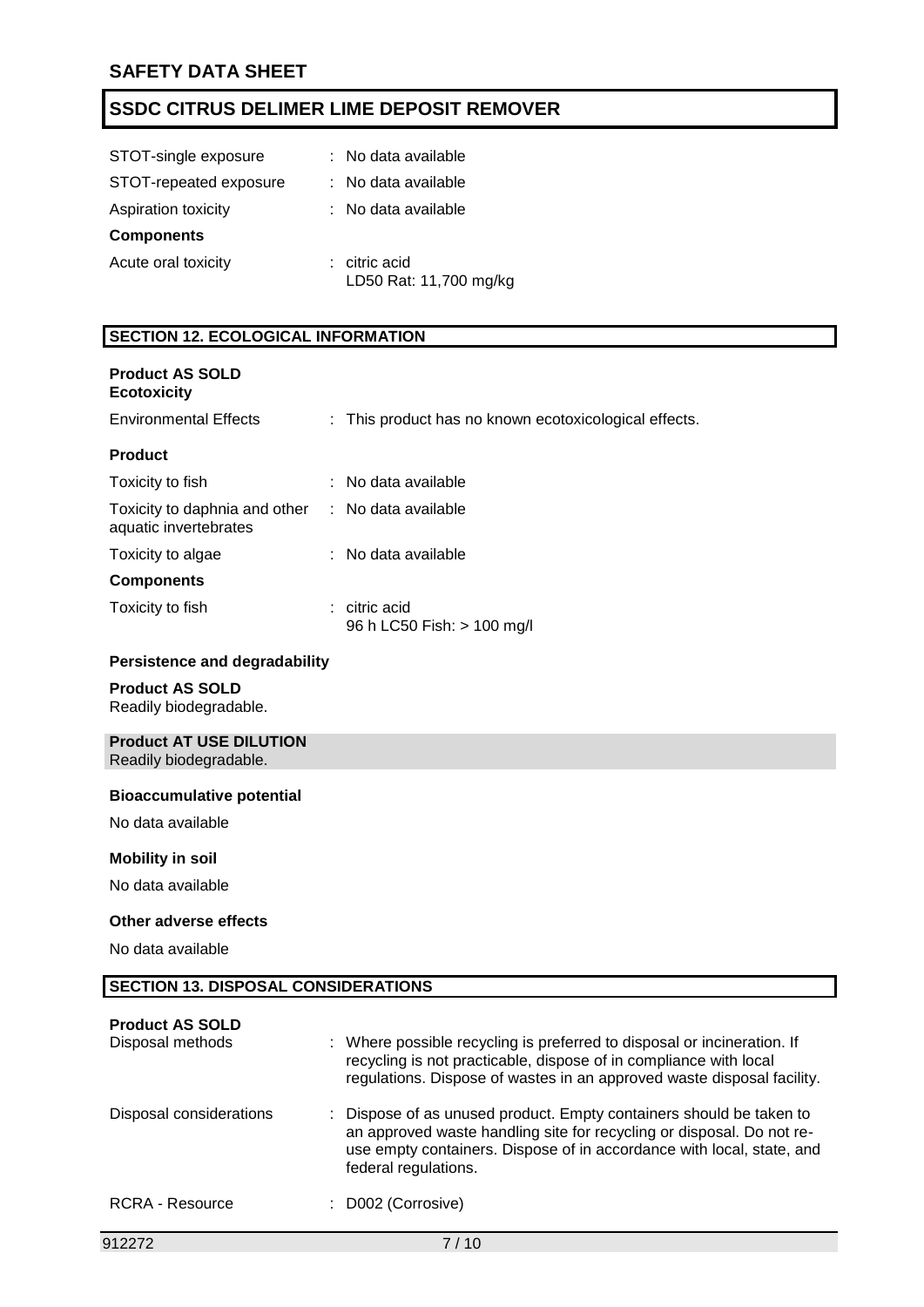| STOT-single exposure   | : No data available                     |
|------------------------|-----------------------------------------|
| STOT-repeated exposure | : No data available                     |
| Aspiration toxicity    | : No data available                     |
| <b>Components</b>      |                                         |
| Acute oral toxicity    | : citric acid<br>LD50 Rat: 11,700 mg/kg |

# **SECTION 12. ECOLOGICAL INFORMATION**

| <b>Product AS SOLD</b><br><b>Ecotoxicity</b>           |                                                       |
|--------------------------------------------------------|-------------------------------------------------------|
| <b>Environmental Effects</b>                           | : This product has no known ecotoxicological effects. |
| <b>Product</b>                                         |                                                       |
| Toxicity to fish                                       | : No data available                                   |
| Toxicity to daphnia and other<br>aquatic invertebrates | : No data available                                   |
| Toxicity to algae                                      | : No data available                                   |
| <b>Components</b>                                      |                                                       |
| Toxicity to fish                                       | $:$ citric acid<br>96 h LC50 Fish: > 100 mg/l         |
| <b>Persistence and degradability</b>                   |                                                       |
| <b>Product AS SOLD</b><br>Readily biodegradable.       |                                                       |

# **Product AT USE DILUTION**

Readily biodegradable.

#### **Bioaccumulative potential**

No data available

#### **Mobility in soil**

No data available

#### **Other adverse effects**

No data available

### **SECTION 13. DISPOSAL CONSIDERATIONS**

| <b>Product AS SOLD</b><br>Disposal methods | : Where possible recycling is preferred to disposal or incineration. If<br>recycling is not practicable, dispose of in compliance with local<br>regulations. Dispose of wastes in an approved waste disposal facility.                        |
|--------------------------------------------|-----------------------------------------------------------------------------------------------------------------------------------------------------------------------------------------------------------------------------------------------|
| Disposal considerations                    | : Dispose of as unused product. Empty containers should be taken to<br>an approved waste handling site for recycling or disposal. Do not re-<br>use empty containers. Dispose of in accordance with local, state, and<br>federal regulations. |
| RCRA - Resource                            | : D002 (Corrosive)                                                                                                                                                                                                                            |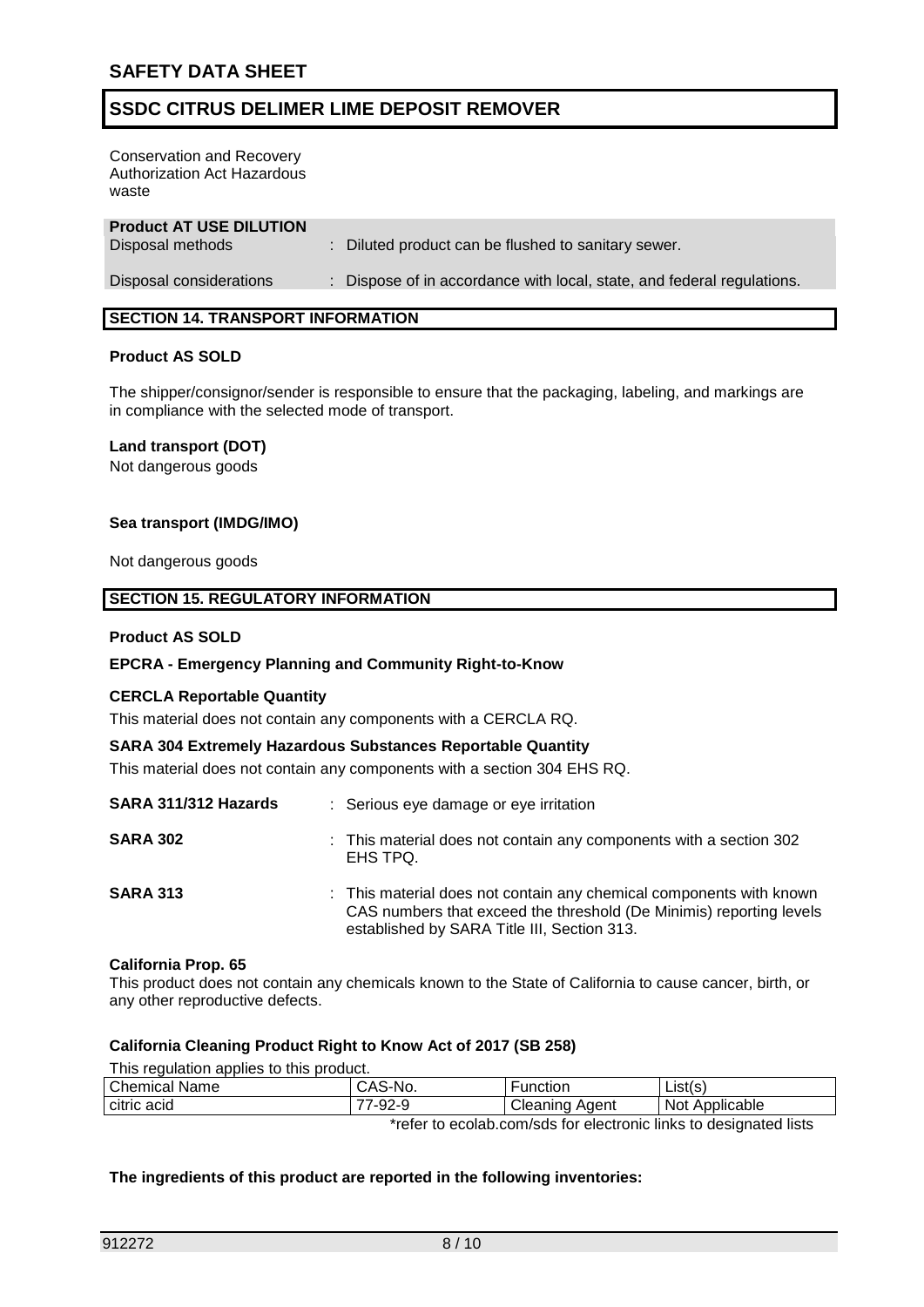Conservation and Recovery Authorization Act Hazardous waste

| <b>Product AT USE DILUTION</b><br>Disposal methods | : Diluted product can be flushed to sanitary sewer.                    |
|----------------------------------------------------|------------------------------------------------------------------------|
| Disposal considerations                            | : Dispose of in accordance with local, state, and federal regulations. |

## **SECTION 14. TRANSPORT INFORMATION**

#### **Product AS SOLD**

The shipper/consignor/sender is responsible to ensure that the packaging, labeling, and markings are in compliance with the selected mode of transport.

#### **Land transport (DOT)**

Not dangerous goods

#### **Sea transport (IMDG/IMO)**

Not dangerous goods

#### **SECTION 15. REGULATORY INFORMATION**

#### **Product AS SOLD**

#### **EPCRA - Emergency Planning and Community Right-to-Know**

#### **CERCLA Reportable Quantity**

This material does not contain any components with a CERCLA RQ.

#### **SARA 304 Extremely Hazardous Substances Reportable Quantity**

This material does not contain any components with a section 304 EHS RQ.

| SARA 311/312 Hazards | : Serious eye damage or eye irritation                                                                                                                                                    |
|----------------------|-------------------------------------------------------------------------------------------------------------------------------------------------------------------------------------------|
| <b>SARA 302</b>      | : This material does not contain any components with a section 302<br>EHS TPQ.                                                                                                            |
| <b>SARA 313</b>      | : This material does not contain any chemical components with known<br>CAS numbers that exceed the threshold (De Minimis) reporting levels<br>established by SARA Title III, Section 313. |

#### **California Prop. 65**

This product does not contain any chemicals known to the State of California to cause cancer, birth, or any other reproductive defects.

#### **California Cleaning Product Right to Know Act of 2017 (SB 258)**

This regulation applies to this product.

| Chemical Name                                                     | CAS-No. | Function       | List(s)        |
|-------------------------------------------------------------------|---------|----------------|----------------|
| citric acid                                                       | 77-92-9 | Cleaning Agent | Not Applicable |
| *refer to ecolab.com/sds for electronic links to designated lists |         |                |                |

#### **The ingredients of this product are reported in the following inventories:**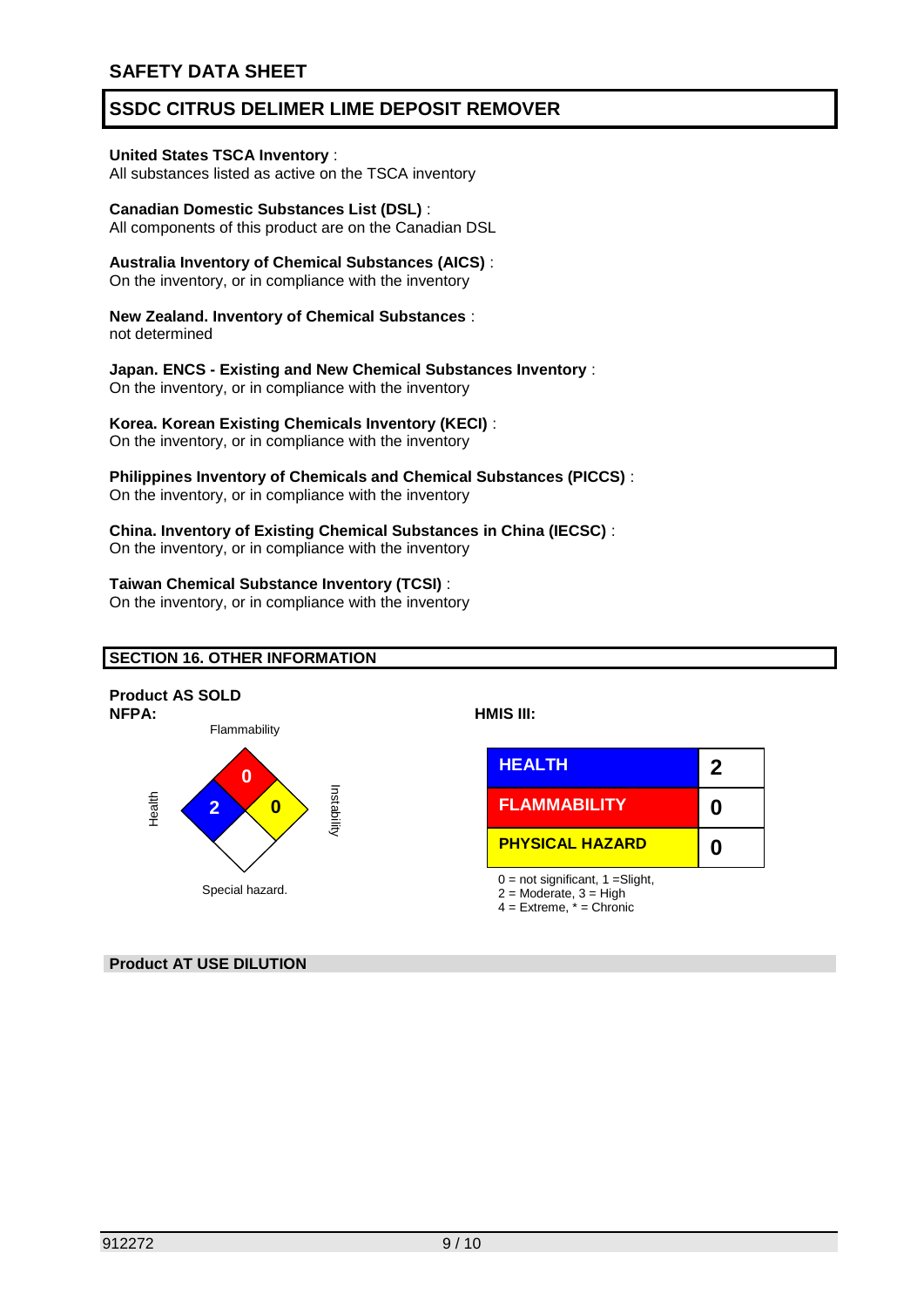### **United States TSCA Inventory** :

All substances listed as active on the TSCA inventory

# **Canadian Domestic Substances List (DSL)** :

All components of this product are on the Canadian DSL

## **Australia Inventory of Chemical Substances (AICS)** :

On the inventory, or in compliance with the inventory

#### **New Zealand. Inventory of Chemical Substances** : not determined

### **Japan. ENCS - Existing and New Chemical Substances Inventory** :

On the inventory, or in compliance with the inventory

### **Korea. Korean Existing Chemicals Inventory (KECI)** :

On the inventory, or in compliance with the inventory

# **Philippines Inventory of Chemicals and Chemical Substances (PICCS)** :

On the inventory, or in compliance with the inventory

#### **China. Inventory of Existing Chemical Substances in China (IECSC)** : On the inventory, or in compliance with the inventory

#### **Taiwan Chemical Substance Inventory (TCSI)** :

On the inventory, or in compliance with the inventory

### **SECTION 16. OTHER INFORMATION**



### **Product AT USE DILUTION**